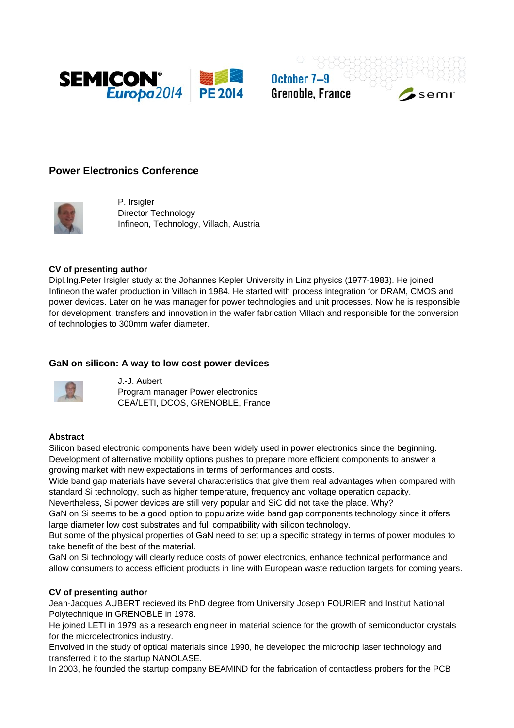

October 7-9 **Grenoble, France** 

# **Power Electronics Conference**



P. Irsigler Director Technology Infineon, Technology, Villach, Austria

### **CV of presenting author**

Dipl.Ing.Peter Irsigler study at the Johannes Kepler University in Linz physics (1977-1983). He joined Infineon the wafer production in Villach in 1984. He started with process integration for DRAM, CMOS and power devices. Later on he was manager for power technologies and unit processes. Now he is responsible for development, transfers and innovation in the wafer fabrication Villach and responsible for the conversion of technologies to 300mm wafer diameter.

# **GaN on silicon: A way to low cost power devices**



J.-J. Aubert Program manager Power electronics CEA/LETI, DCOS, GRENOBLE, France

# **Abstract**

Silicon based electronic components have been widely used in power electronics since the beginning. Development of alternative mobility options pushes to prepare more efficient components to answer a growing market with new expectations in terms of performances and costs.

Wide band gap materials have several characteristics that give them real advantages when compared with standard Si technology, such as higher temperature, frequency and voltage operation capacity.

Nevertheless, Si power devices are still very popular and SiC did not take the place. Why?

GaN on Si seems to be a good option to popularize wide band gap components technology since it offers large diameter low cost substrates and full compatibility with silicon technology.

But some of the physical properties of GaN need to set up a specific strategy in terms of power modules to take benefit of the best of the material.

GaN on Si technology will clearly reduce costs of power electronics, enhance technical performance and allow consumers to access efficient products in line with European waste reduction targets for coming years.

#### **CV of presenting author**

Jean-Jacques AUBERT recieved its PhD degree from University Joseph FOURIER and Institut National Polytechnique in GRENOBLE in 1978.

He joined LETI in 1979 as a research engineer in material science for the growth of semiconductor crystals for the microelectronics industry.

Envolved in the study of optical materials since 1990, he developed the microchip laser technology and transferred it to the startup NANOLASE.

In 2003, he founded the startup company BEAMIND for the fabrication of contactless probers for the PCB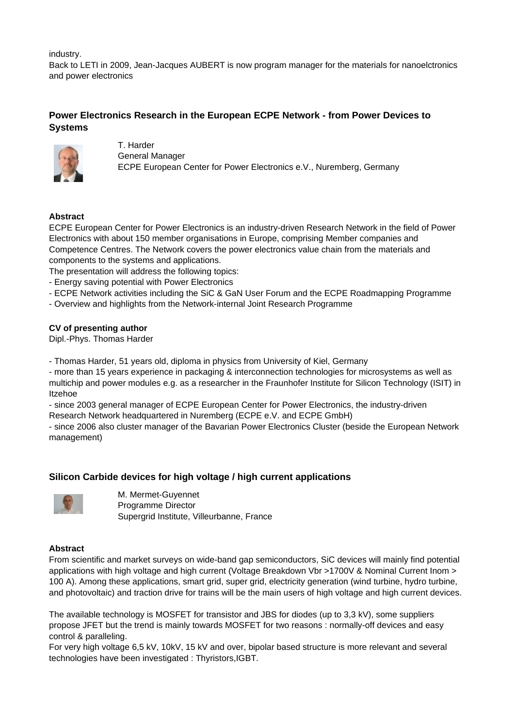industry.

Back to LETI in 2009, Jean-Jacques AUBERT is now program manager for the materials for nanoelctronics and power electronics

# **Power Electronics Research in the European ECPE Network - from Power Devices to Systems**



T. Harder General Manager ECPE European Center for Power Electronics e.V., Nuremberg, Germany

# **Abstract**

ECPE European Center for Power Electronics is an industry-driven Research Network in the field of Power Electronics with about 150 member organisations in Europe, comprising Member companies and Competence Centres. The Network covers the power electronics value chain from the materials and components to the systems and applications.

The presentation will address the following topics:

- Energy saving potential with Power Electronics
- ECPE Network activities including the SiC & GaN User Forum and the ECPE Roadmapping Programme
- Overview and highlights from the Network-internal Joint Research Programme

# **CV of presenting author**

Dipl.-Phys. Thomas Harder

- Thomas Harder, 51 years old, diploma in physics from University of Kiel, Germany

- more than 15 years experience in packaging & interconnection technologies for microsystems as well as multichip and power modules e.g. as a researcher in the Fraunhofer Institute for Silicon Technology (ISIT) in Itzehoe

- since 2003 general manager of ECPE European Center for Power Electronics, the industry-driven Research Network headquartered in Nuremberg (ECPE e.V. and ECPE GmbH)

- since 2006 also cluster manager of the Bavarian Power Electronics Cluster (beside the European Network management)

# **Silicon Carbide devices for high voltage / high current applications**



M. Mermet-Guyennet Programme Director Supergrid Institute, Villeurbanne, France

# **Abstract**

From scientific and market surveys on wide-band gap semiconductors, SiC devices will mainly find potential applications with high voltage and high current (Voltage Breakdown Vbr >1700V & Nominal Current Inom > 100 A). Among these applications, smart grid, super grid, electricity generation (wind turbine, hydro turbine, and photovoltaic) and traction drive for trains will be the main users of high voltage and high current devices.

The available technology is MOSFET for transistor and JBS for diodes (up to 3,3 kV), some suppliers propose JFET but the trend is mainly towards MOSFET for two reasons : normally-off devices and easy control & paralleling.

For very high voltage 6,5 kV, 10kV, 15 kV and over, bipolar based structure is more relevant and several technologies have been investigated : Thyristors,IGBT.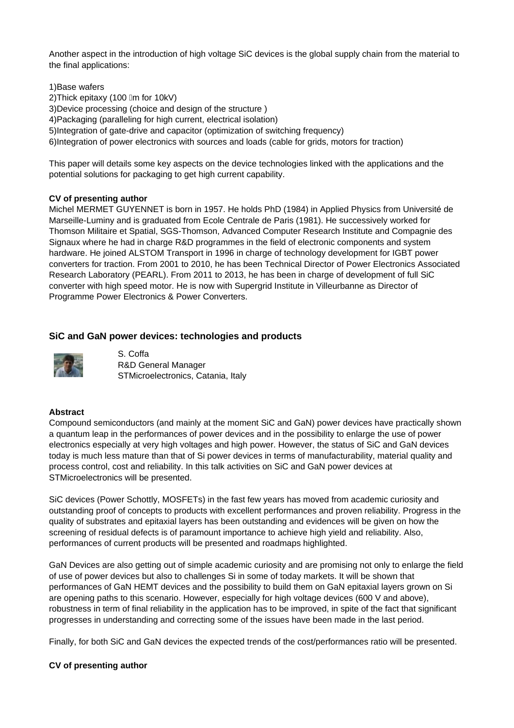Another aspect in the introduction of high voltage SiC devices is the global supply chain from the material to the final applications:

1)Base wafers 2) Thick epitaxy (100 Im for 10kV) 3)Device processing (choice and design of the structure ) 4)Packaging (paralleling for high current, electrical isolation) 5)Integration of gate-drive and capacitor (optimization of switching frequency) 6)Integration of power electronics with sources and loads (cable for grids, motors for traction)

This paper will details some key aspects on the device technologies linked with the applications and the potential solutions for packaging to get high current capability.

# **CV of presenting author**

Michel MERMET GUYENNET is born in 1957. He holds PhD (1984) in Applied Physics from Université de Marseille-Luminy and is graduated from Ecole Centrale de Paris (1981). He successively worked for Thomson Militaire et Spatial, SGS-Thomson, Advanced Computer Research Institute and Compagnie des Signaux where he had in charge R&D programmes in the field of electronic components and system hardware. He joined ALSTOM Transport in 1996 in charge of technology development for IGBT power converters for traction. From 2001 to 2010, he has been Technical Director of Power Electronics Associated Research Laboratory (PEARL). From 2011 to 2013, he has been in charge of development of full SiC converter with high speed motor. He is now with Supergrid Institute in Villeurbanne as Director of Programme Power Electronics & Power Converters.

# **SiC and GaN power devices: technologies and products**



S. Coffa R&D General Manager STMicroelectronics, Catania, Italy

# **Abstract**

Compound semiconductors (and mainly at the moment SiC and GaN) power devices have practically shown a quantum leap in the performances of power devices and in the possibility to enlarge the use of power electronics especially at very high voltages and high power. However, the status of SiC and GaN devices today is much less mature than that of Si power devices in terms of manufacturability, material quality and process control, cost and reliability. In this talk activities on SiC and GaN power devices at STMicroelectronics will be presented.

SiC devices (Power Schottly, MOSFETs) in the fast few years has moved from academic curiosity and outstanding proof of concepts to products with excellent performances and proven reliability. Progress in the quality of substrates and epitaxial layers has been outstanding and evidences will be given on how the screening of residual defects is of paramount importance to achieve high yield and reliability. Also, performances of current products will be presented and roadmaps highlighted.

GaN Devices are also getting out of simple academic curiosity and are promising not only to enlarge the field of use of power devices but also to challenges Si in some of today markets. It will be shown that performances of GaN HEMT devices and the possibility to build them on GaN epitaxial layers grown on Si are opening paths to this scenario. However, especially for high voltage devices (600 V and above), robustness in term of final reliability in the application has to be improved, in spite of the fact that significant progresses in understanding and correcting some of the issues have been made in the last period.

Finally, for both SiC and GaN devices the expected trends of the cost/performances ratio will be presented.

# **CV of presenting author**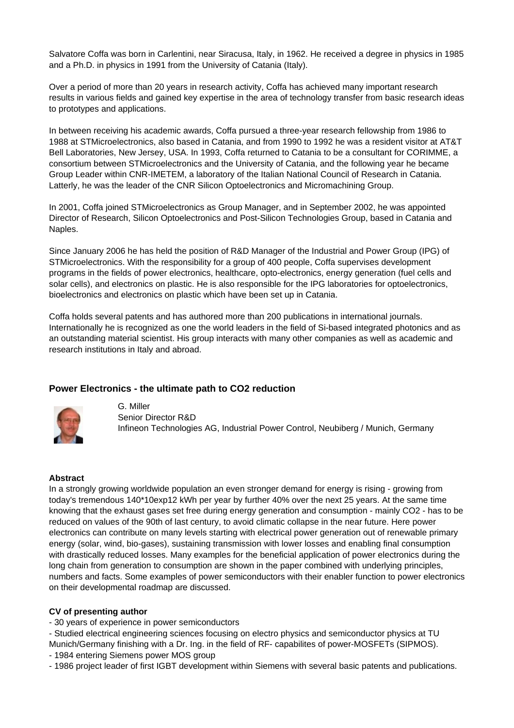Salvatore Coffa was born in Carlentini, near Siracusa, Italy, in 1962. He received a degree in physics in 1985 and a Ph.D. in physics in 1991 from the University of Catania (Italy).

Over a period of more than 20 years in research activity, Coffa has achieved many important research results in various fields and gained key expertise in the area of technology transfer from basic research ideas to prototypes and applications.

In between receiving his academic awards, Coffa pursued a three-year research fellowship from 1986 to 1988 at STMicroelectronics, also based in Catania, and from 1990 to 1992 he was a resident visitor at AT&T Bell Laboratories, New Jersey, USA. In 1993, Coffa returned to Catania to be a consultant for CORIMME, a consortium between STMicroelectronics and the University of Catania, and the following year he became Group Leader within CNR-IMETEM, a laboratory of the Italian National Council of Research in Catania. Latterly, he was the leader of the CNR Silicon Optoelectronics and Micromachining Group.

In 2001, Coffa joined STMicroelectronics as Group Manager, and in September 2002, he was appointed Director of Research, Silicon Optoelectronics and Post-Silicon Technologies Group, based in Catania and Naples.

Since January 2006 he has held the position of R&D Manager of the Industrial and Power Group (IPG) of STMicroelectronics. With the responsibility for a group of 400 people, Coffa supervises development programs in the fields of power electronics, healthcare, opto-electronics, energy generation (fuel cells and solar cells), and electronics on plastic. He is also responsible for the IPG laboratories for optoelectronics, bioelectronics and electronics on plastic which have been set up in Catania.

Coffa holds several patents and has authored more than 200 publications in international journals. Internationally he is recognized as one the world leaders in the field of Si-based integrated photonics and as an outstanding material scientist. His group interacts with many other companies as well as academic and research institutions in Italy and abroad.

# **Power Electronics - the ultimate path to CO2 reduction**



G. Miller Senior Director R&D Infineon Technologies AG, Industrial Power Control, Neubiberg / Munich, Germany

#### **Abstract**

In a strongly growing worldwide population an even stronger demand for energy is rising - growing from today's tremendous 140\*10exp12 kWh per year by further 40% over the next 25 years. At the same time knowing that the exhaust gases set free during energy generation and consumption - mainly CO2 - has to be reduced on values of the 90th of last century, to avoid climatic collapse in the near future. Here power electronics can contribute on many levels starting with electrical power generation out of renewable primary energy (solar, wind, bio-gases), sustaining transmission with lower losses and enabling final consumption with drastically reduced losses. Many examples for the beneficial application of power electronics during the long chain from generation to consumption are shown in the paper combined with underlying principles, numbers and facts. Some examples of power semiconductors with their enabler function to power electronics on their developmental roadmap are discussed.

#### **CV of presenting author**

- 30 years of experience in power semiconductors

- Studied electrical engineering sciences focusing on electro physics and semiconductor physics at TU Munich/Germany finishing with a Dr. Ing. in the field of RF- capabilites of power-MOSFETs (SIPMOS).

- 1984 entering Siemens power MOS group

- 1986 project leader of first IGBT development within Siemens with several basic patents and publications.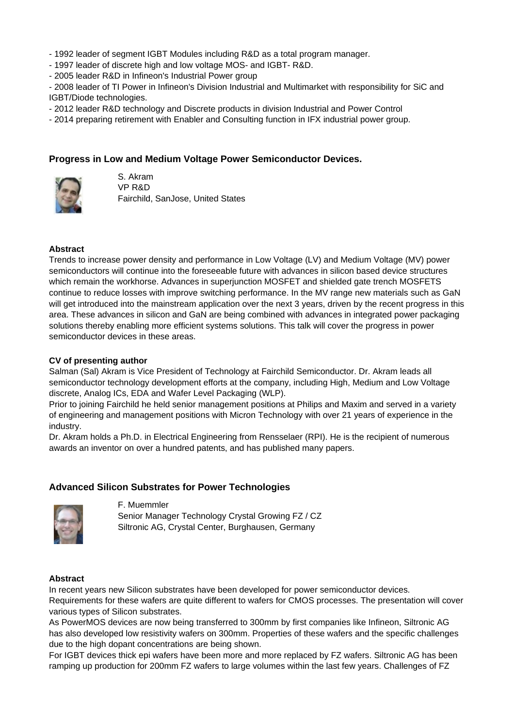- 1992 leader of segment IGBT Modules including R&D as a total program manager.
- 1997 leader of discrete high and low voltage MOS- and IGBT- R&D.
- 2005 leader R&D in Infineon's Industrial Power group

- 2008 leader of TI Power in Infineon's Division Industrial and Multimarket with responsibility for SiC and IGBT/Diode technologies.

- 2012 leader R&D technology and Discrete products in division Industrial and Power Control
- 2014 preparing retirement with Enabler and Consulting function in IFX industrial power group.

# **Progress in Low and Medium Voltage Power Semiconductor Devices.**



S. Akram VP R&D Fairchild, SanJose, United States

### **Abstract**

Trends to increase power density and performance in Low Voltage (LV) and Medium Voltage (MV) power semiconductors will continue into the foreseeable future with advances in silicon based device structures which remain the workhorse. Advances in superjunction MOSFET and shielded gate trench MOSFETS continue to reduce losses with improve switching performance. In the MV range new materials such as GaN will get introduced into the mainstream application over the next 3 years, driven by the recent progress in this area. These advances in silicon and GaN are being combined with advances in integrated power packaging solutions thereby enabling more efficient systems solutions. This talk will cover the progress in power semiconductor devices in these areas.

### **CV of presenting author**

Salman (Sal) Akram is Vice President of Technology at Fairchild Semiconductor. Dr. Akram leads all semiconductor technology development efforts at the company, including High, Medium and Low Voltage discrete, Analog ICs, EDA and Wafer Level Packaging (WLP).

Prior to joining Fairchild he held senior management positions at Philips and Maxim and served in a variety of engineering and management positions with Micron Technology with over 21 years of experience in the industry.

Dr. Akram holds a Ph.D. in Electrical Engineering from Rensselaer (RPI). He is the recipient of numerous awards an inventor on over a hundred patents, and has published many papers.

# **Advanced Silicon Substrates for Power Technologies**



F. Muemmler

Senior Manager Technology Crystal Growing FZ / CZ Siltronic AG, Crystal Center, Burghausen, Germany

#### **Abstract**

In recent years new Silicon substrates have been developed for power semiconductor devices. Requirements for these wafers are quite different to wafers for CMOS processes. The presentation will cover various types of Silicon substrates.

As PowerMOS devices are now being transferred to 300mm by first companies like Infineon, Siltronic AG has also developed low resistivity wafers on 300mm. Properties of these wafers and the specific challenges due to the high dopant concentrations are being shown.

For IGBT devices thick epi wafers have been more and more replaced by FZ wafers. Siltronic AG has been ramping up production for 200mm FZ wafers to large volumes within the last few years. Challenges of FZ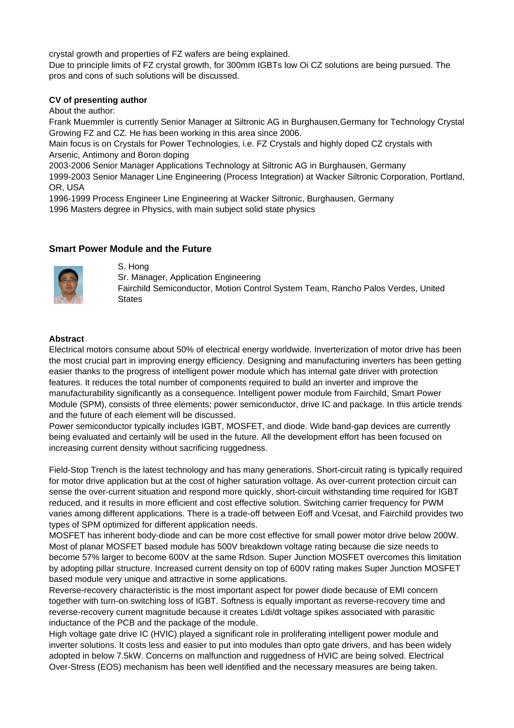crystal growth and properties of FZ wafers are being explained.

Due to principle limits of FZ crystal growth, for 300mm IGBTs low Oi CZ solutions are being pursued. The pros and cons of such solutions will be discussed.

### **CV of presenting author**

About the author:

Frank Muemmler is currently Senior Manager at Siltronic AG in Burghausen,Germany for Technology Crystal Growing FZ and CZ. He has been working in this area since 2006.

Main focus is on Crystals for Power Technologies, i.e. FZ Crystals and highly doped CZ crystals with Arsenic, Antimony and Boron doping

2003-2006 Senior Manager Applications Technology at Siltronic AG in Burghausen, Germany

1999-2003 Senior Manager Line Engineering (Process Integration) at Wacker Siltronic Corporation, Portland, OR, USA

1996-1999 Process Engineer Line Engineering at Wacker Siltronic, Burghausen, Germany 1996 Masters degree in Physics, with main subject solid state physics

# **Smart Power Module and the Future**



S. Hong

Sr. Manager, Application Engineering Fairchild Semiconductor, Motion Control System Team, Rancho Palos Verdes, United **States** 

# **Abstract**

Electrical motors consume about 50% of electrical energy worldwide. Inverterization of motor drive has been the most crucial part in improving energy efficiency. Designing and manufacturing inverters has been getting easier thanks to the progress of intelligent power module which has internal gate driver with protection features. It reduces the total number of components required to build an inverter and improve the manufacturability significantly as a consequence. Intelligent power module from Fairchild, Smart Power Module (SPM), consists of three elements; power semiconductor, drive IC and package. In this article trends and the future of each element will be discussed.

Power semiconductor typically includes IGBT, MOSFET, and diode. Wide band-gap devices are currently being evaluated and certainly will be used in the future. All the development effort has been focused on increasing current density without sacrificing ruggedness.

Field-Stop Trench is the latest technology and has many generations. Short-circuit rating is typically required for motor drive application but at the cost of higher saturation voltage. As over-current protection circuit can sense the over-current situation and respond more quickly, short-circuit withstanding time required for IGBT reduced, and it results in more efficient and cost effective solution. Switching carrier frequency for PWM varies among different applications. There is a trade-off between Eoff and Vcesat, and Fairchild provides two types of SPM optimized for different application needs.

MOSFET has inherent body-diode and can be more cost effective for small power motor drive below 200W. Most of planar MOSFET based module has 500V breakdown voltage rating because die size needs to become 57% larger to become 600V at the same Rdson. Super Junction MOSFET overcomes this limitation by adopting pillar structure. Increased current density on top of 600V rating makes Super Junction MOSFET based module very unique and attractive in some applications.

Reverse-recovery characteristic is the most important aspect for power diode because of EMI concern together with turn-on switching loss of IGBT. Softness is equally important as reverse-recovery time and reverse-recovery current magnitude because it creates Ldi/dt voltage spikes associated with parasitic inductance of the PCB and the package of the module.

High voltage gate drive IC (HVIC) played a significant role in proliferating intelligent power module and inverter solutions. It costs less and easier to put into modules than opto gate drivers, and has been widely adopted in below 7.5kW. Concerns on malfunction and ruggedness of HVIC are being solved. Electrical Over-Stress (EOS) mechanism has been well identified and the necessary measures are being taken.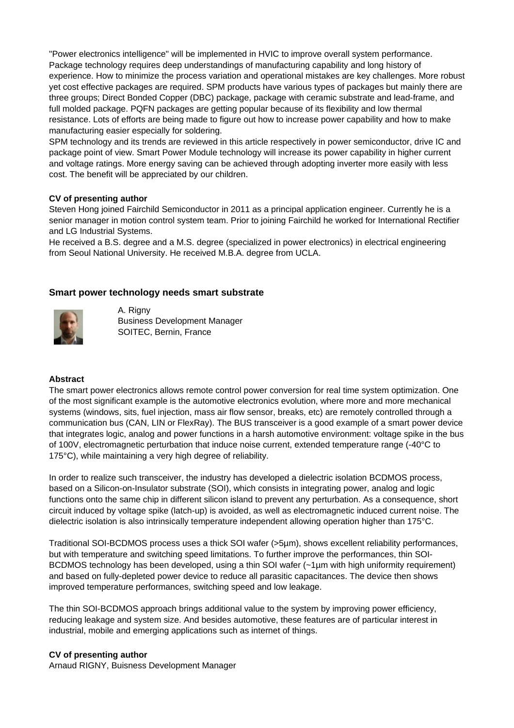"Power electronics intelligence" will be implemented in HVIC to improve overall system performance. Package technology requires deep understandings of manufacturing capability and long history of experience. How to minimize the process variation and operational mistakes are key challenges. More robust yet cost effective packages are required. SPM products have various types of packages but mainly there are three groups; Direct Bonded Copper (DBC) package, package with ceramic substrate and lead-frame, and full molded package. PQFN packages are getting popular because of its flexibility and low thermal resistance. Lots of efforts are being made to figure out how to increase power capability and how to make manufacturing easier especially for soldering.

SPM technology and its trends are reviewed in this article respectively in power semiconductor, drive IC and package point of view. Smart Power Module technology will increase its power capability in higher current and voltage ratings. More energy saving can be achieved through adopting inverter more easily with less cost. The benefit will be appreciated by our children.

# **CV of presenting author**

Steven Hong joined Fairchild Semiconductor in 2011 as a principal application engineer. Currently he is a senior manager in motion control system team. Prior to joining Fairchild he worked for International Rectifier and LG Industrial Systems.

He received a B.S. degree and a M.S. degree (specialized in power electronics) in electrical engineering from Seoul National University. He received M.B.A. degree from UCLA.

# **Smart power technology needs smart substrate**



A. Rigny Business Development Manager SOITEC, Bernin, France

# **Abstract**

The smart power electronics allows remote control power conversion for real time system optimization. One of the most significant example is the automotive electronics evolution, where more and more mechanical systems (windows, sits, fuel injection, mass air flow sensor, breaks, etc) are remotely controlled through a communication bus (CAN, LIN or FlexRay). The BUS transceiver is a good example of a smart power device that integrates logic, analog and power functions in a harsh automotive environment: voltage spike in the bus of 100V, electromagnetic perturbation that induce noise current, extended temperature range (-40°C to 175°C), while maintaining a very high degree of reliability.

In order to realize such transceiver, the industry has developed a dielectric isolation BCDMOS process, based on a Silicon-on-Insulator substrate (SOI), which consists in integrating power, analog and logic functions onto the same chip in different silicon island to prevent any perturbation. As a consequence, short circuit induced by voltage spike (latch-up) is avoided, as well as electromagnetic induced current noise. The dielectric isolation is also intrinsically temperature independent allowing operation higher than 175°C.

Traditional SOI-BCDMOS process uses a thick SOI wafer (>5µm), shows excellent reliability performances, but with temperature and switching speed limitations. To further improve the performances, thin SOI-BCDMOS technology has been developed, using a thin SOI wafer (~1um with high uniformity requirement) and based on fully-depleted power device to reduce all parasitic capacitances. The device then shows improved temperature performances, switching speed and low leakage.

The thin SOI-BCDMOS approach brings additional value to the system by improving power efficiency, reducing leakage and system size. And besides automotive, these features are of particular interest in industrial, mobile and emerging applications such as internet of things.

# **CV of presenting author**

Arnaud RIGNY, Buisness Development Manager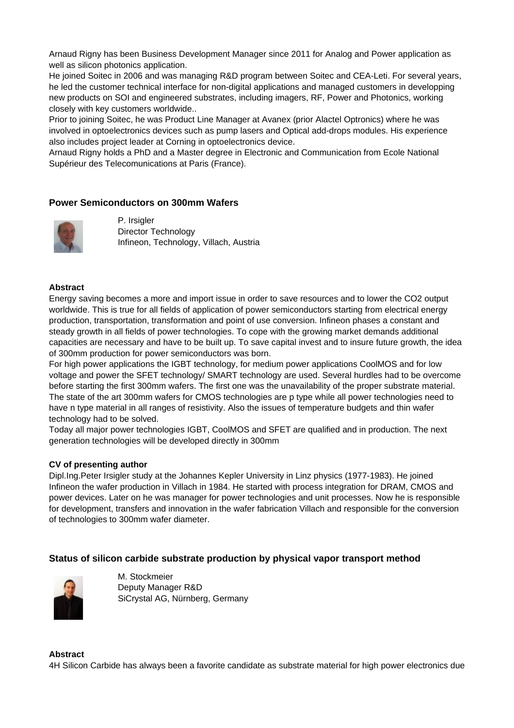Arnaud Rigny has been Business Development Manager since 2011 for Analog and Power application as well as silicon photonics application.

He joined Soitec in 2006 and was managing R&D program between Soitec and CEA-Leti. For several years, he led the customer technical interface for non-digital applications and managed customers in developping new products on SOI and engineered substrates, including imagers, RF, Power and Photonics, working closely with key customers worldwide..

Prior to joining Soitec, he was Product Line Manager at Avanex (prior Alactel Optronics) where he was involved in optoelectronics devices such as pump lasers and Optical add-drops modules. His experience also includes project leader at Corning in optoelectronics device.

Arnaud Rigny holds a PhD and a Master degree in Electronic and Communication from Ecole National Supérieur des Telecomunications at Paris (France).

# **Power Semiconductors on 300mm Wafers**



P. Irsigler Director Technology Infineon, Technology, Villach, Austria

### **Abstract**

Energy saving becomes a more and import issue in order to save resources and to lower the CO2 output worldwide. This is true for all fields of application of power semiconductors starting from electrical energy production, transportation, transformation and point of use conversion. Infineon phases a constant and steady growth in all fields of power technologies. To cope with the growing market demands additional capacities are necessary and have to be built up. To save capital invest and to insure future growth, the idea of 300mm production for power semiconductors was born.

For high power applications the IGBT technology, for medium power applications CoolMOS and for low voltage and power the SFET technology/ SMART technology are used. Several hurdles had to be overcome before starting the first 300mm wafers. The first one was the unavailability of the proper substrate material. The state of the art 300mm wafers for CMOS technologies are p type while all power technologies need to have n type material in all ranges of resistivity. Also the issues of temperature budgets and thin wafer technology had to be solved.

Today all major power technologies IGBT, CoolMOS and SFET are qualified and in production. The next generation technologies will be developed directly in 300mm

#### **CV of presenting author**

Dipl.Ing.Peter Irsigler study at the Johannes Kepler University in Linz physics (1977-1983). He joined Infineon the wafer production in Villach in 1984. He started with process integration for DRAM, CMOS and power devices. Later on he was manager for power technologies and unit processes. Now he is responsible for development, transfers and innovation in the wafer fabrication Villach and responsible for the conversion of technologies to 300mm wafer diameter.

# **Status of silicon carbide substrate production by physical vapor transport method**



M. Stockmeier Deputy Manager R&D SiCrystal AG, Nürnberg, Germany